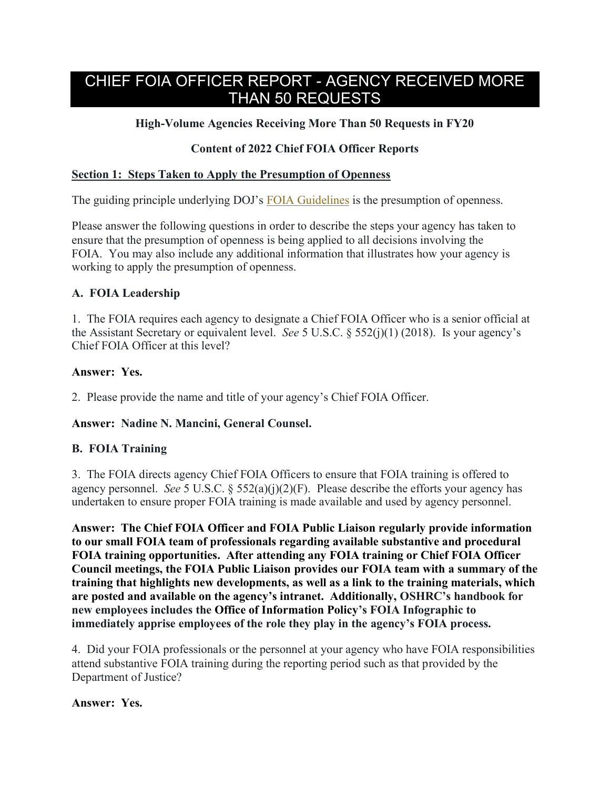# CHIEF FOIA OFFICER REPORT - AGENCY RECEIVED MORE THAN 50 REQUESTS

# **High-Volume Agencies Receiving More Than 50 Requests in FY20**

# **Content of 2022 Chief FOIA Officer Reports**

### **Section 1: Steps Taken to Apply the Presumption of Openness**

The guiding principle underlying DOJ's FOIA Guidelines is the presumption of openness.

Please answer the following questions in order to describe the steps your agency has taken to ensure that the presumption of openness is being applied to all decisions involving the FOIA. You may also include any additional information that illustrates how your agency is working to apply the presumption of openness.

# **A. FOIA Leadership**

1. The FOIA requires each agency to designate a Chief FOIA Officer who is a senior official at the Assistant Secretary or equivalent level. *See* 5 U.S.C. § 552(j)(1) (2018). Is your agency's Chief FOIA Officer at this level?

### **Answer: Yes.**

2. Please provide the name and title of your agency's Chief FOIA Officer.

# **Answer: Nadine N. Mancini, General Counsel.**

# **B. FOIA Training**

3. The FOIA directs agency Chief FOIA Officers to ensure that FOIA training is offered to agency personnel. *See* 5 U.S.C. § 552(a)(j)(2)(F). Please describe the efforts your agency has undertaken to ensure proper FOIA training is made available and used by agency personnel.

**Answer: The Chief FOIA Officer and FOIA Public Liaison regularly provide information to our small FOIA team of professionals regarding available substantive and procedural FOIA training opportunities. After attending any FOIA training or Chief FOIA Officer Council meetings, the FOIA Public Liaison provides our FOIA team with a summary of the training that highlights new developments, as well as a link to the training materials, which are posted and available on the agency's intranet. Additionally, OSHRC's handbook for new employees includes the Office of Information Policy's FOIA Infographic to immediately apprise employees of the role they play in the agency's FOIA process.** 

4. Did your FOIA professionals or the personnel at your agency who have FOIA responsibilities attend substantive FOIA training during the reporting period such as that provided by the Department of Justice?

### **Answer: Yes.**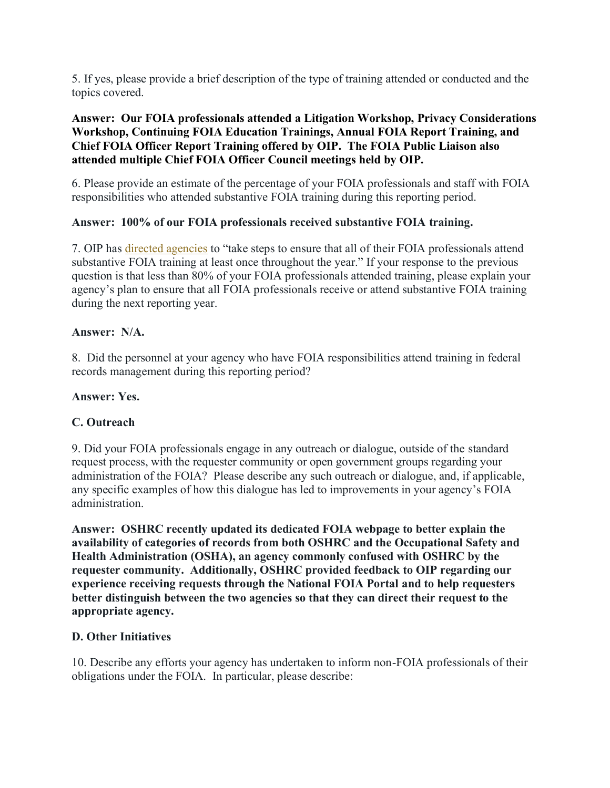5. If yes, please provide a brief description of the type of training attended or conducted and the topics covered.

# **Answer: Our FOIA professionals attended a Litigation Workshop, Privacy Considerations Workshop, Continuing FOIA Education Trainings, Annual FOIA Report Training, and Chief FOIA Officer Report Training offered by OIP. The FOIA Public Liaison also attended multiple Chief FOIA Officer Council meetings held by OIP.**

6. Please provide an estimate of the percentage of your FOIA professionals and staff with FOIA responsibilities who attended substantive FOIA training during this reporting period.

# **Answer: 100% of our FOIA professionals received substantive FOIA training.**

7. OIP has directed agencies to "take steps to ensure that all of their FOIA professionals attend substantive FOIA training at least once throughout the year." If your response to the previous question is that less than 80% of your FOIA professionals attended training, please explain your agency's plan to ensure that all FOIA professionals receive or attend substantive FOIA training during the next reporting year.

### **Answer: N/A.**

8. Did the personnel at your agency who have FOIA responsibilities attend training in federal records management during this reporting period?

# **Answer: Yes.**

# **C. Outreach**

9. Did your FOIA professionals engage in any outreach or dialogue, outside of the standard request process, with the requester community or open government groups regarding your administration of the FOIA? Please describe any such outreach or dialogue, and, if applicable, any specific examples of how this dialogue has led to improvements in your agency's FOIA administration.

**Answer: OSHRC recently updated its dedicated FOIA webpage to better explain the availability of categories of records from both OSHRC and the Occupational Safety and Health Administration (OSHA), an agency commonly confused with OSHRC by the requester community. Additionally, OSHRC provided feedback to OIP regarding our experience receiving requests through the National FOIA Portal and to help requesters better distinguish between the two agencies so that they can direct their request to the appropriate agency.** 

# **D. Other Initiatives**

10. Describe any efforts your agency has undertaken to inform non-FOIA professionals of their obligations under the FOIA. In particular, please describe: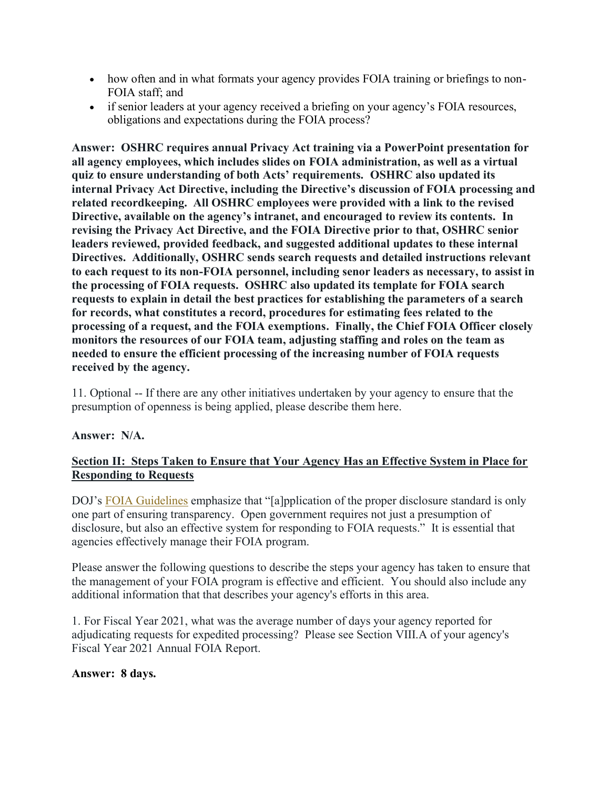- how often and in what formats your agency provides FOIA training or briefings to non-FOIA staff; and
- if senior leaders at your agency received a briefing on your agency's FOIA resources, obligations and expectations during the FOIA process?

**Answer: OSHRC requires annual Privacy Act training via a PowerPoint presentation for all agency employees, which includes slides on FOIA administration, as well as a virtual quiz to ensure understanding of both Acts' requirements. OSHRC also updated its internal Privacy Act Directive, including the Directive's discussion of FOIA processing and related recordkeeping. All OSHRC employees were provided with a link to the revised Directive, available on the agency's intranet, and encouraged to review its contents. In revising the Privacy Act Directive, and the FOIA Directive prior to that, OSHRC senior leaders reviewed, provided feedback, and suggested additional updates to these internal Directives. Additionally, OSHRC sends search requests and detailed instructions relevant to each request to its non-FOIA personnel, including senor leaders as necessary, to assist in the processing of FOIA requests. OSHRC also updated its template for FOIA search requests to explain in detail the best practices for establishing the parameters of a search for records, what constitutes a record, procedures for estimating fees related to the processing of a request, and the FOIA exemptions. Finally, the Chief FOIA Officer closely monitors the resources of our FOIA team, adjusting staffing and roles on the team as needed to ensure the efficient processing of the increasing number of FOIA requests received by the agency.** 

11. Optional -- If there are any other initiatives undertaken by your agency to ensure that the presumption of openness is being applied, please describe them here.

# **Answer: N/A.**

# **Section II: Steps Taken to Ensure that Your Agency Has an Effective System in Place for Responding to Requests**

DOJ's FOIA Guidelines emphasize that "[a]pplication of the proper disclosure standard is only one part of ensuring transparency. Open government requires not just a presumption of disclosure, but also an effective system for responding to FOIA requests." It is essential that agencies effectively manage their FOIA program.

Please answer the following questions to describe the steps your agency has taken to ensure that the management of your FOIA program is effective and efficient. You should also include any additional information that that describes your agency's efforts in this area.

1. For Fiscal Year 2021, what was the average number of days your agency reported for adjudicating requests for expedited processing? Please see Section VIII.A of your agency's Fiscal Year 2021 Annual FOIA Report.

### **Answer: 8 days.**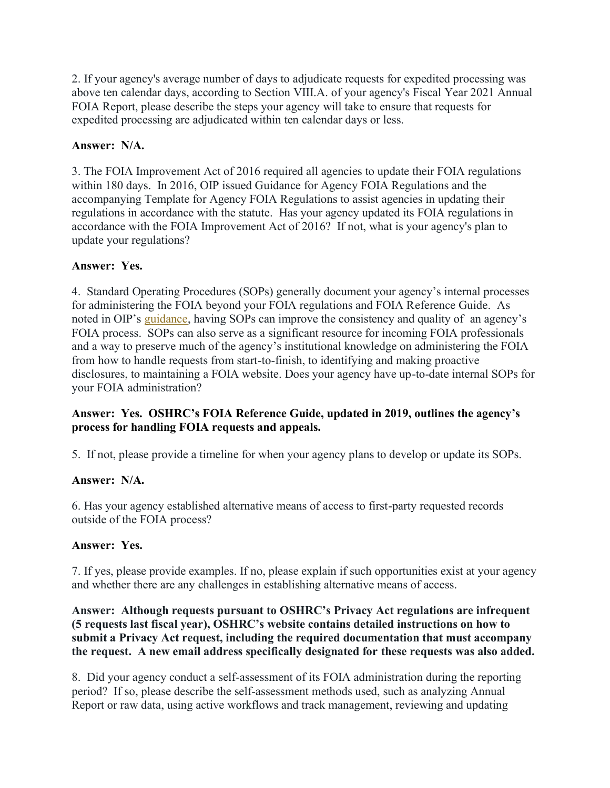2. If your agency's average number of days to adjudicate requests for expedited processing was above ten calendar days, according to Section VIII.A. of your agency's Fiscal Year 2021 Annual FOIA Report, please describe the steps your agency will take to ensure that requests for expedited processing are adjudicated within ten calendar days or less.

# **Answer: N/A.**

3. The FOIA Improvement Act of 2016 required all agencies to update their FOIA regulations within 180 days. In 2016, OIP issued Guidance for Agency FOIA Regulations and the accompanying Template for Agency FOIA Regulations to assist agencies in updating their regulations in accordance with the statute. Has your agency updated its FOIA regulations in accordance with the FOIA Improvement Act of 2016? If not, what is your agency's plan to update your regulations?

# **Answer: Yes.**

4. Standard Operating Procedures (SOPs) generally document your agency's internal processes for administering the FOIA beyond your FOIA regulations and FOIA Reference Guide. As noted in OIP's guidance, having SOPs can improve the consistency and quality of an agency's FOIA process. SOPs can also serve as a significant resource for incoming FOIA professionals and a way to preserve much of the agency's institutional knowledge on administering the FOIA from how to handle requests from start-to-finish, to identifying and making proactive disclosures, to maintaining a FOIA website. Does your agency have up-to-date internal SOPs for your FOIA administration?

# **Answer: Yes. OSHRC's FOIA Reference Guide, updated in 2019, outlines the agency's process for handling FOIA requests and appeals.**

5. If not, please provide a timeline for when your agency plans to develop or update its SOPs.

# **Answer: N/A.**

6. Has your agency established alternative means of access to first-party requested records outside of the FOIA process?

# **Answer: Yes.**

7. If yes, please provide examples. If no, please explain if such opportunities exist at your agency and whether there are any challenges in establishing alternative means of access.

**Answer: Although requests pursuant to OSHRC's Privacy Act regulations are infrequent (5 requests last fiscal year), OSHRC's website contains detailed instructions on how to submit a Privacy Act request, including the required documentation that must accompany the request. A new email address specifically designated for these requests was also added.** 

8. Did your agency conduct a self-assessment of its FOIA administration during the reporting period? If so, please describe the self-assessment methods used, such as analyzing Annual Report or raw data, using active workflows and track management, reviewing and updating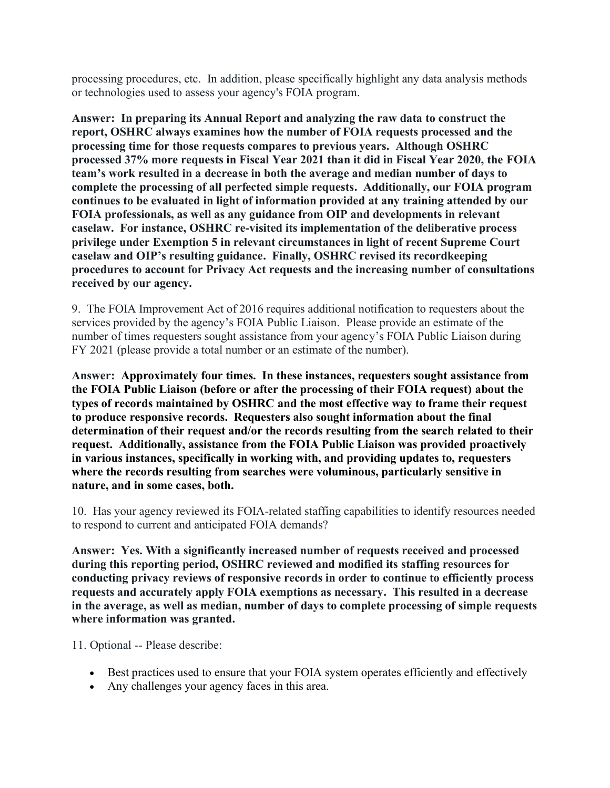processing procedures, etc. In addition, please specifically highlight any data analysis methods or technologies used to assess your agency's FOIA program.

**Answer: In preparing its Annual Report and analyzing the raw data to construct the report, OSHRC always examines how the number of FOIA requests processed and the processing time for those requests compares to previous years. Although OSHRC processed 37% more requests in Fiscal Year 2021 than it did in Fiscal Year 2020, the FOIA team's work resulted in a decrease in both the average and median number of days to complete the processing of all perfected simple requests. Additionally, our FOIA program continues to be evaluated in light of information provided at any training attended by our FOIA professionals, as well as any guidance from OIP and developments in relevant caselaw. For instance, OSHRC re-visited its implementation of the deliberative process privilege under Exemption 5 in relevant circumstances in light of recent Supreme Court caselaw and OIP's resulting guidance. Finally, OSHRC revised its recordkeeping procedures to account for Privacy Act requests and the increasing number of consultations received by our agency.** 

9. The FOIA Improvement Act of 2016 requires additional notification to requesters about the services provided by the agency's FOIA Public Liaison. Please provide an estimate of the number of times requesters sought assistance from your agency's FOIA Public Liaison during FY 2021 (please provide a total number or an estimate of the number).

**Answer: Approximately four times. In these instances, requesters sought assistance from the FOIA Public Liaison (before or after the processing of their FOIA request) about the types of records maintained by OSHRC and the most effective way to frame their request to produce responsive records. Requesters also sought information about the final determination of their request and/or the records resulting from the search related to their request. Additionally, assistance from the FOIA Public Liaison was provided proactively in various instances, specifically in working with, and providing updates to, requesters where the records resulting from searches were voluminous, particularly sensitive in nature, and in some cases, both.** 

10. Has your agency reviewed its FOIA-related staffing capabilities to identify resources needed to respond to current and anticipated FOIA demands?

**Answer: Yes. With a significantly increased number of requests received and processed during this reporting period, OSHRC reviewed and modified its staffing resources for conducting privacy reviews of responsive records in order to continue to efficiently process requests and accurately apply FOIA exemptions as necessary. This resulted in a decrease in the average, as well as median, number of days to complete processing of simple requests where information was granted.**

11. Optional -- Please describe:

- Best practices used to ensure that your FOIA system operates efficiently and effectively
- Any challenges your agency faces in this area.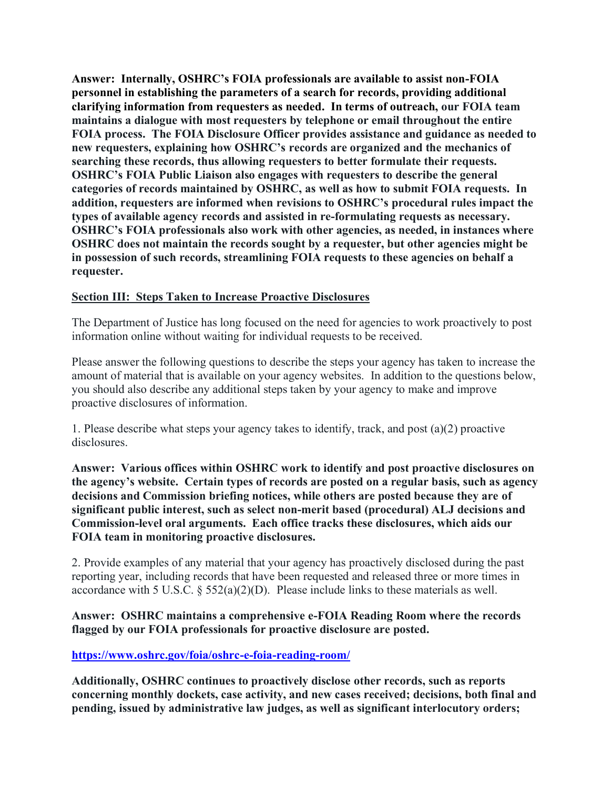**Answer: Internally, OSHRC's FOIA professionals are available to assist non-FOIA personnel in establishing the parameters of a search for records, providing additional clarifying information from requesters as needed. In terms of outreach, our FOIA team maintains a dialogue with most requesters by telephone or email throughout the entire FOIA process. The FOIA Disclosure Officer provides assistance and guidance as needed to new requesters, explaining how OSHRC's records are organized and the mechanics of searching these records, thus allowing requesters to better formulate their requests. OSHRC's FOIA Public Liaison also engages with requesters to describe the general categories of records maintained by OSHRC, as well as how to submit FOIA requests. In addition, requesters are informed when revisions to OSHRC's procedural rules impact the types of available agency records and assisted in re-formulating requests as necessary. OSHRC's FOIA professionals also work with other agencies, as needed, in instances where OSHRC does not maintain the records sought by a requester, but other agencies might be in possession of such records, streamlining FOIA requests to these agencies on behalf a requester.** 

# **Section III: Steps Taken to Increase Proactive Disclosures**

The Department of Justice has long focused on the need for agencies to work proactively to post information online without waiting for individual requests to be received.

Please answer the following questions to describe the steps your agency has taken to increase the amount of material that is available on your agency websites. In addition to the questions below, you should also describe any additional steps taken by your agency to make and improve proactive disclosures of information.

1. Please describe what steps your agency takes to identify, track, and post (a)(2) proactive disclosures.

**Answer: Various offices within OSHRC work to identify and post proactive disclosures on the agency's website. Certain types of records are posted on a regular basis, such as agency decisions and Commission briefing notices, while others are posted because they are of significant public interest, such as select non-merit based (procedural) ALJ decisions and Commission-level oral arguments. Each office tracks these disclosures, which aids our FOIA team in monitoring proactive disclosures.**

2. Provide examples of any material that your agency has proactively disclosed during the past reporting year, including records that have been requested and released three or more times in accordance with 5 U.S.C. § 552(a)(2)(D). Please include links to these materials as well.

**Answer: OSHRC maintains a comprehensive e-FOIA Reading Room where the records flagged by our FOIA professionals for proactive disclosure are posted.** 

**https://www.oshrc.gov/foia/oshrc-e-foia-reading-room/** 

**Additionally, OSHRC continues to proactively disclose other records, such as reports concerning monthly dockets, case activity, and new cases received; decisions, both final and pending, issued by administrative law judges, as well as significant interlocutory orders;**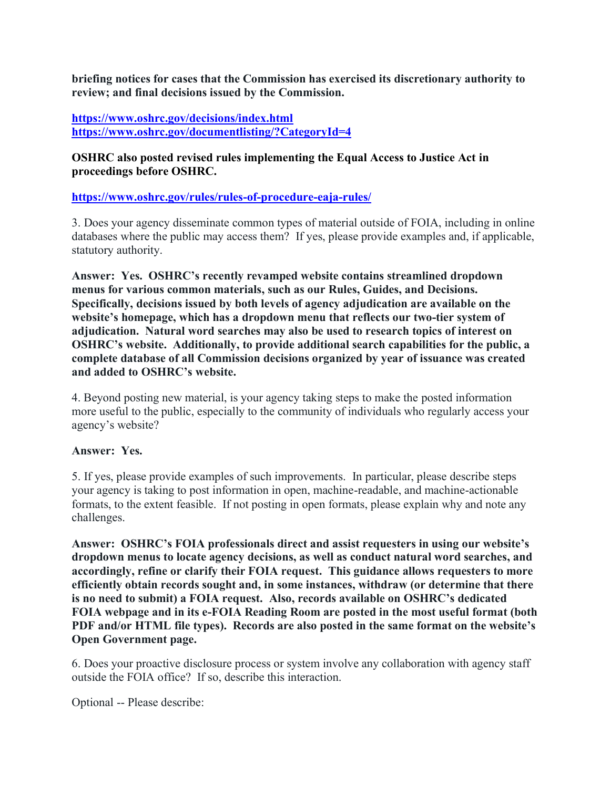**briefing notices for cases that the Commission has exercised its discretionary authority to review; and final decisions issued by the Commission.** 

**https://www.oshrc.gov/decisions/index.html https://www.oshrc.gov/documentlisting/?CategoryId=4**

### **OSHRC also posted revised rules implementing the Equal Access to Justice Act in proceedings before OSHRC.**

**https://www.oshrc.gov/rules/rules-of-procedure-eaja-rules/**

3. Does your agency disseminate common types of material outside of FOIA, including in online databases where the public may access them? If yes, please provide examples and, if applicable, statutory authority.

**Answer: Yes. OSHRC's recently revamped website contains streamlined dropdown menus for various common materials, such as our Rules, Guides, and Decisions. Specifically, decisions issued by both levels of agency adjudication are available on the website's homepage, which has a dropdown menu that reflects our two-tier system of adjudication. Natural word searches may also be used to research topics of interest on OSHRC's website. Additionally, to provide additional search capabilities for the public, a complete database of all Commission decisions organized by year of issuance was created and added to OSHRC's website.**

4. Beyond posting new material, is your agency taking steps to make the posted information more useful to the public, especially to the community of individuals who regularly access your agency's website?

# **Answer: Yes.**

5. If yes, please provide examples of such improvements. In particular, please describe steps your agency is taking to post information in open, machine-readable, and machine-actionable formats, to the extent feasible. If not posting in open formats, please explain why and note any challenges.

**Answer: OSHRC's FOIA professionals direct and assist requesters in using our website's dropdown menus to locate agency decisions, as well as conduct natural word searches, and accordingly, refine or clarify their FOIA request. This guidance allows requesters to more efficiently obtain records sought and, in some instances, withdraw (or determine that there is no need to submit) a FOIA request. Also, records available on OSHRC's dedicated FOIA webpage and in its e-FOIA Reading Room are posted in the most useful format (both PDF and/or HTML file types). Records are also posted in the same format on the website's Open Government page.** 

6. Does your proactive disclosure process or system involve any collaboration with agency staff outside the FOIA office? If so, describe this interaction.

Optional -- Please describe: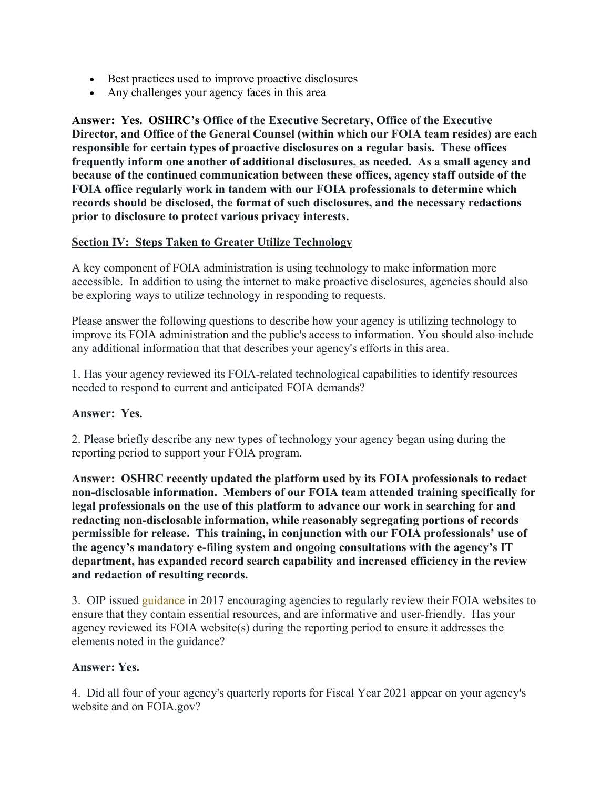- Best practices used to improve proactive disclosures
- Any challenges your agency faces in this area

**Answer: Yes. OSHRC's Office of the Executive Secretary, Office of the Executive Director, and Office of the General Counsel (within which our FOIA team resides) are each responsible for certain types of proactive disclosures on a regular basis. These offices frequently inform one another of additional disclosures, as needed. As a small agency and because of the continued communication between these offices, agency staff outside of the FOIA office regularly work in tandem with our FOIA professionals to determine which records should be disclosed, the format of such disclosures, and the necessary redactions prior to disclosure to protect various privacy interests.**

# **Section IV: Steps Taken to Greater Utilize Technology**

A key component of FOIA administration is using technology to make information more accessible. In addition to using the internet to make proactive disclosures, agencies should also be exploring ways to utilize technology in responding to requests.

Please answer the following questions to describe how your agency is utilizing technology to improve its FOIA administration and the public's access to information. You should also include any additional information that that describes your agency's efforts in this area.

1. Has your agency reviewed its FOIA-related technological capabilities to identify resources needed to respond to current and anticipated FOIA demands?

### **Answer: Yes.**

2. Please briefly describe any new types of technology your agency began using during the reporting period to support your FOIA program.

**Answer: OSHRC recently updated the platform used by its FOIA professionals to redact non-disclosable information. Members of our FOIA team attended training specifically for legal professionals on the use of this platform to advance our work in searching for and redacting non-disclosable information, while reasonably segregating portions of records permissible for release. This training, in conjunction with our FOIA professionals' use of the agency's mandatory e-filing system and ongoing consultations with the agency's IT department, has expanded record search capability and increased efficiency in the review and redaction of resulting records.** 

3. OIP issued guidance in 2017 encouraging agencies to regularly review their FOIA websites to ensure that they contain essential resources, and are informative and user-friendly. Has your agency reviewed its FOIA website(s) during the reporting period to ensure it addresses the elements noted in the guidance?

### **Answer: Yes.**

4. Did all four of your agency's quarterly reports for Fiscal Year 2021 appear on your agency's website and on FOIA.gov?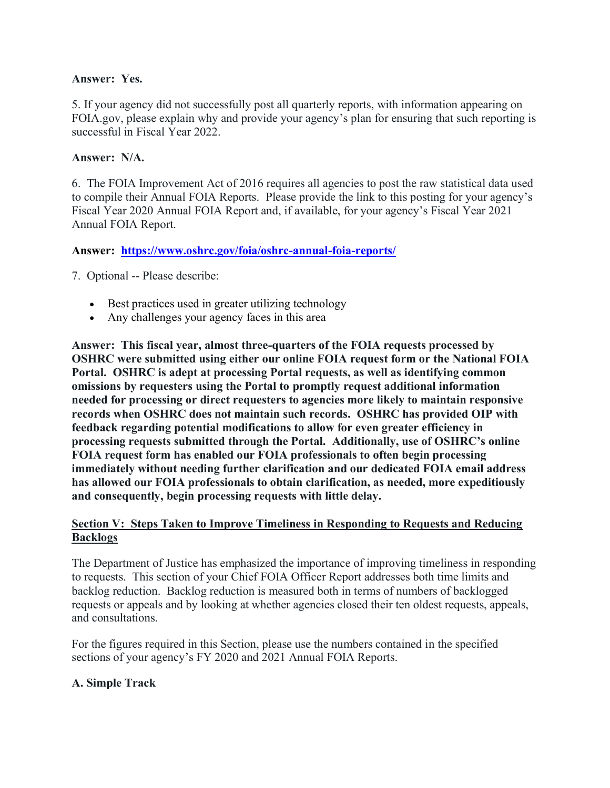### **Answer: Yes.**

5. If your agency did not successfully post all quarterly reports, with information appearing on FOIA.gov, please explain why and provide your agency's plan for ensuring that such reporting is successful in Fiscal Year 2022.

### **Answer: N/A.**

6. The FOIA Improvement Act of 2016 requires all agencies to post the raw statistical data used to compile their Annual FOIA Reports. Please provide the link to this posting for your agency's Fiscal Year 2020 Annual FOIA Report and, if available, for your agency's Fiscal Year 2021 Annual FOIA Report.

### **Answer: https://www.oshrc.gov/foia/oshrc-annual-foia-reports/**

7. Optional -- Please describe:

- Best practices used in greater utilizing technology
- Any challenges your agency faces in this area

**Answer: This fiscal year, almost three-quarters of the FOIA requests processed by OSHRC were submitted using either our online FOIA request form or the National FOIA Portal. OSHRC is adept at processing Portal requests, as well as identifying common omissions by requesters using the Portal to promptly request additional information needed for processing or direct requesters to agencies more likely to maintain responsive records when OSHRC does not maintain such records. OSHRC has provided OIP with feedback regarding potential modifications to allow for even greater efficiency in processing requests submitted through the Portal. Additionally, use of OSHRC's online FOIA request form has enabled our FOIA professionals to often begin processing immediately without needing further clarification and our dedicated FOIA email address has allowed our FOIA professionals to obtain clarification, as needed, more expeditiously and consequently, begin processing requests with little delay.** 

### **Section V: Steps Taken to Improve Timeliness in Responding to Requests and Reducing Backlogs**

The Department of Justice has emphasized the importance of improving timeliness in responding to requests. This section of your Chief FOIA Officer Report addresses both time limits and backlog reduction. Backlog reduction is measured both in terms of numbers of backlogged requests or appeals and by looking at whether agencies closed their ten oldest requests, appeals, and consultations.

For the figures required in this Section, please use the numbers contained in the specified sections of your agency's FY 2020 and 2021 Annual FOIA Reports.

# **A. Simple Track**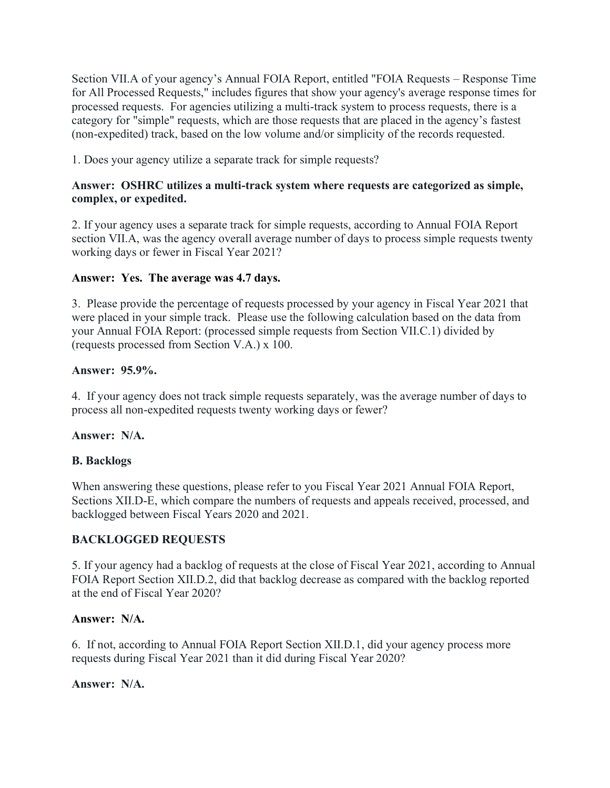Section VII.A of your agency's Annual FOIA Report, entitled "FOIA Requests – Response Time for All Processed Requests," includes figures that show your agency's average response times for processed requests. For agencies utilizing a multi-track system to process requests, there is a category for "simple" requests, which are those requests that are placed in the agency's fastest (non-expedited) track, based on the low volume and/or simplicity of the records requested.

1. Does your agency utilize a separate track for simple requests?

# **Answer: OSHRC utilizes a multi-track system where requests are categorized as simple, complex, or expedited.**

2. If your agency uses a separate track for simple requests, according to Annual FOIA Report section VII.A, was the agency overall average number of days to process simple requests twenty working days or fewer in Fiscal Year 2021?

# **Answer: Yes. The average was 4.7 days.**

3. Please provide the percentage of requests processed by your agency in Fiscal Year 2021 that were placed in your simple track. Please use the following calculation based on the data from your Annual FOIA Report: (processed simple requests from Section VII.C.1) divided by (requests processed from Section V.A.) x 100.

# **Answer: 95.9%.**

4. If your agency does not track simple requests separately, was the average number of days to process all non-expedited requests twenty working days or fewer?

# **Answer: N/A.**

# **B. Backlogs**

When answering these questions, please refer to you Fiscal Year 2021 Annual FOIA Report, Sections XII.D-E, which compare the numbers of requests and appeals received, processed, and backlogged between Fiscal Years 2020 and 2021.

# **BACKLOGGED REQUESTS**

5. If your agency had a backlog of requests at the close of Fiscal Year 2021, according to Annual FOIA Report Section XII.D.2, did that backlog decrease as compared with the backlog reported at the end of Fiscal Year 2020?

# **Answer: N/A.**

6. If not, according to Annual FOIA Report Section XII.D.1, did your agency process more requests during Fiscal Year 2021 than it did during Fiscal Year 2020?

# **Answer: N/A.**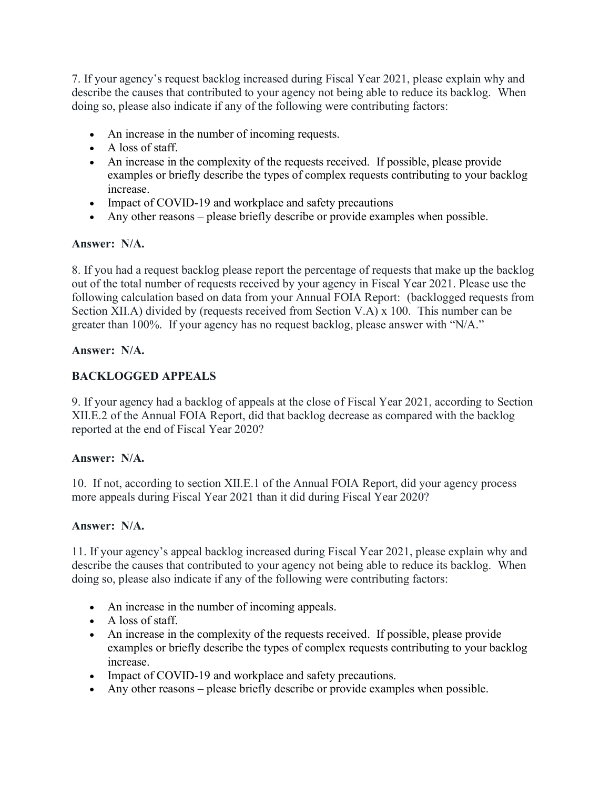7. If your agency's request backlog increased during Fiscal Year 2021, please explain why and describe the causes that contributed to your agency not being able to reduce its backlog. When doing so, please also indicate if any of the following were contributing factors:

- An increase in the number of incoming requests.
- A loss of staff.
- An increase in the complexity of the requests received. If possible, please provide examples or briefly describe the types of complex requests contributing to your backlog increase.
- Impact of COVID-19 and workplace and safety precautions
- Any other reasons please briefly describe or provide examples when possible.

# **Answer: N/A.**

8. If you had a request backlog please report the percentage of requests that make up the backlog out of the total number of requests received by your agency in Fiscal Year 2021. Please use the following calculation based on data from your Annual FOIA Report: (backlogged requests from Section XII.A) divided by (requests received from Section V.A) x 100. This number can be greater than 100%. If your agency has no request backlog, please answer with "N/A."

### **Answer: N/A.**

# **BACKLOGGED APPEALS**

9. If your agency had a backlog of appeals at the close of Fiscal Year 2021, according to Section XII.E.2 of the Annual FOIA Report, did that backlog decrease as compared with the backlog reported at the end of Fiscal Year 2020?

# **Answer: N/A.**

10. If not, according to section XII.E.1 of the Annual FOIA Report, did your agency process more appeals during Fiscal Year 2021 than it did during Fiscal Year 2020?

### **Answer: N/A.**

11. If your agency's appeal backlog increased during Fiscal Year 2021, please explain why and describe the causes that contributed to your agency not being able to reduce its backlog. When doing so, please also indicate if any of the following were contributing factors:

- An increase in the number of incoming appeals.
- A loss of staff.
- An increase in the complexity of the requests received. If possible, please provide examples or briefly describe the types of complex requests contributing to your backlog increase.
- Impact of COVID-19 and workplace and safety precautions.
- Any other reasons please briefly describe or provide examples when possible.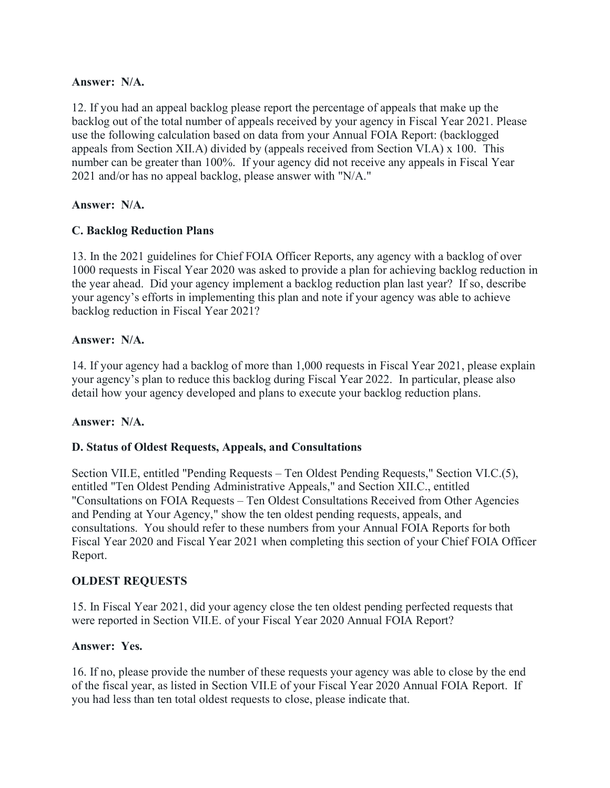### **Answer: N/A.**

12. If you had an appeal backlog please report the percentage of appeals that make up the backlog out of the total number of appeals received by your agency in Fiscal Year 2021. Please use the following calculation based on data from your Annual FOIA Report: (backlogged appeals from Section XII.A) divided by (appeals received from Section VI.A) x 100. This number can be greater than 100%. If your agency did not receive any appeals in Fiscal Year 2021 and/or has no appeal backlog, please answer with "N/A."

### **Answer: N/A.**

### **C. Backlog Reduction Plans**

13. In the 2021 guidelines for Chief FOIA Officer Reports, any agency with a backlog of over 1000 requests in Fiscal Year 2020 was asked to provide a plan for achieving backlog reduction in the year ahead. Did your agency implement a backlog reduction plan last year? If so, describe your agency's efforts in implementing this plan and note if your agency was able to achieve backlog reduction in Fiscal Year 2021?

### **Answer: N/A.**

14. If your agency had a backlog of more than 1,000 requests in Fiscal Year 2021, please explain your agency's plan to reduce this backlog during Fiscal Year 2022. In particular, please also detail how your agency developed and plans to execute your backlog reduction plans.

# **Answer: N/A.**

### **D. Status of Oldest Requests, Appeals, and Consultations**

Section VII.E, entitled "Pending Requests – Ten Oldest Pending Requests," Section VI.C.(5), entitled "Ten Oldest Pending Administrative Appeals," and Section XII.C., entitled "Consultations on FOIA Requests – Ten Oldest Consultations Received from Other Agencies and Pending at Your Agency," show the ten oldest pending requests, appeals, and consultations. You should refer to these numbers from your Annual FOIA Reports for both Fiscal Year 2020 and Fiscal Year 2021 when completing this section of your Chief FOIA Officer Report.

### **OLDEST REQUESTS**

15. In Fiscal Year 2021, did your agency close the ten oldest pending perfected requests that were reported in Section VII.E. of your Fiscal Year 2020 Annual FOIA Report?

### **Answer: Yes.**

16. If no, please provide the number of these requests your agency was able to close by the end of the fiscal year, as listed in Section VII.E of your Fiscal Year 2020 Annual FOIA Report. If you had less than ten total oldest requests to close, please indicate that.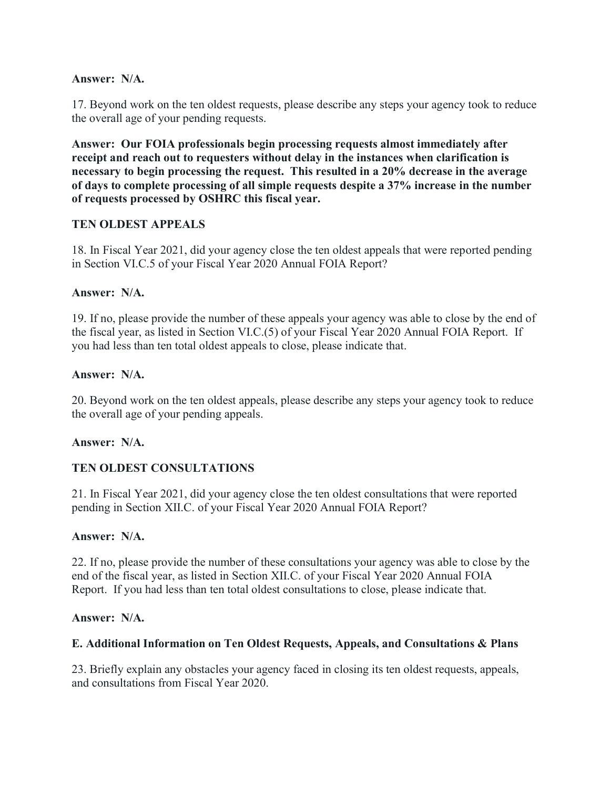### **Answer: N/A.**

17. Beyond work on the ten oldest requests, please describe any steps your agency took to reduce the overall age of your pending requests.

**Answer: Our FOIA professionals begin processing requests almost immediately after receipt and reach out to requesters without delay in the instances when clarification is necessary to begin processing the request. This resulted in a 20% decrease in the average of days to complete processing of all simple requests despite a 37% increase in the number of requests processed by OSHRC this fiscal year.** 

# **TEN OLDEST APPEALS**

18. In Fiscal Year 2021, did your agency close the ten oldest appeals that were reported pending in Section VI.C.5 of your Fiscal Year 2020 Annual FOIA Report?

### **Answer: N/A.**

19. If no, please provide the number of these appeals your agency was able to close by the end of the fiscal year, as listed in Section VI.C.(5) of your Fiscal Year 2020 Annual FOIA Report. If you had less than ten total oldest appeals to close, please indicate that.

### **Answer: N/A.**

20. Beyond work on the ten oldest appeals, please describe any steps your agency took to reduce the overall age of your pending appeals.

### **Answer: N/A.**

# **TEN OLDEST CONSULTATIONS**

21. In Fiscal Year 2021, did your agency close the ten oldest consultations that were reported pending in Section XII.C. of your Fiscal Year 2020 Annual FOIA Report?

### **Answer: N/A.**

22. If no, please provide the number of these consultations your agency was able to close by the end of the fiscal year, as listed in Section XII.C. of your Fiscal Year 2020 Annual FOIA Report. If you had less than ten total oldest consultations to close, please indicate that.

### **Answer: N/A.**

# **E. Additional Information on Ten Oldest Requests, Appeals, and Consultations & Plans**

23. Briefly explain any obstacles your agency faced in closing its ten oldest requests, appeals, and consultations from Fiscal Year 2020.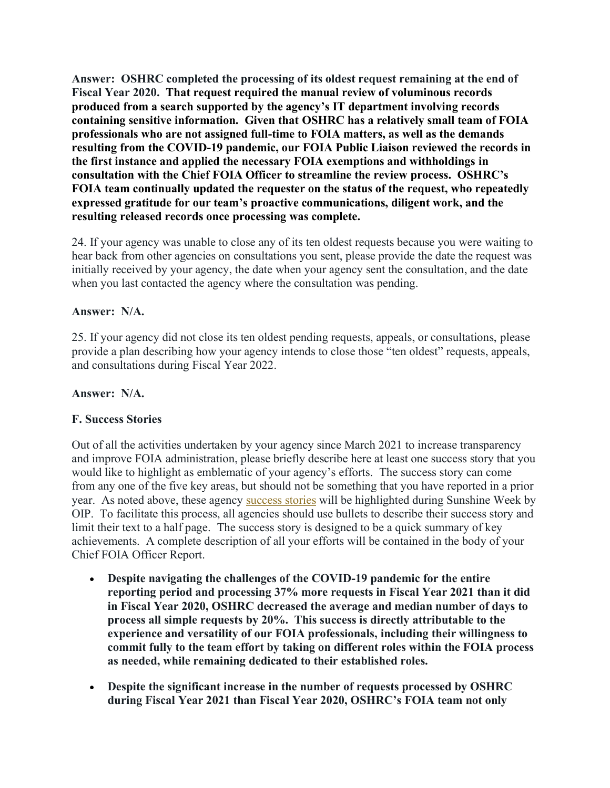**Answer: OSHRC completed the processing of its oldest request remaining at the end of Fiscal Year 2020. That request required the manual review of voluminous records produced from a search supported by the agency's IT department involving records containing sensitive information. Given that OSHRC has a relatively small team of FOIA professionals who are not assigned full-time to FOIA matters, as well as the demands resulting from the COVID-19 pandemic, our FOIA Public Liaison reviewed the records in the first instance and applied the necessary FOIA exemptions and withholdings in consultation with the Chief FOIA Officer to streamline the review process. OSHRC's FOIA team continually updated the requester on the status of the request, who repeatedly expressed gratitude for our team's proactive communications, diligent work, and the resulting released records once processing was complete.** 

24. If your agency was unable to close any of its ten oldest requests because you were waiting to hear back from other agencies on consultations you sent, please provide the date the request was initially received by your agency, the date when your agency sent the consultation, and the date when you last contacted the agency where the consultation was pending.

### **Answer: N/A.**

25. If your agency did not close its ten oldest pending requests, appeals, or consultations, please provide a plan describing how your agency intends to close those "ten oldest" requests, appeals, and consultations during Fiscal Year 2022.

### **Answer: N/A.**

### **F. Success Stories**

Out of all the activities undertaken by your agency since March 2021 to increase transparency and improve FOIA administration, please briefly describe here at least one success story that you would like to highlight as emblematic of your agency's efforts. The success story can come from any one of the five key areas, but should not be something that you have reported in a prior year. As noted above, these agency success stories will be highlighted during Sunshine Week by OIP. To facilitate this process, all agencies should use bullets to describe their success story and limit their text to a half page. The success story is designed to be a quick summary of key achievements. A complete description of all your efforts will be contained in the body of your Chief FOIA Officer Report.

- **Despite navigating the challenges of the COVID-19 pandemic for the entire reporting period and processing 37% more requests in Fiscal Year 2021 than it did in Fiscal Year 2020, OSHRC decreased the average and median number of days to process all simple requests by 20%. This success is directly attributable to the experience and versatility of our FOIA professionals, including their willingness to commit fully to the team effort by taking on different roles within the FOIA process as needed, while remaining dedicated to their established roles.**
- **Despite the significant increase in the number of requests processed by OSHRC during Fiscal Year 2021 than Fiscal Year 2020, OSHRC's FOIA team not only**